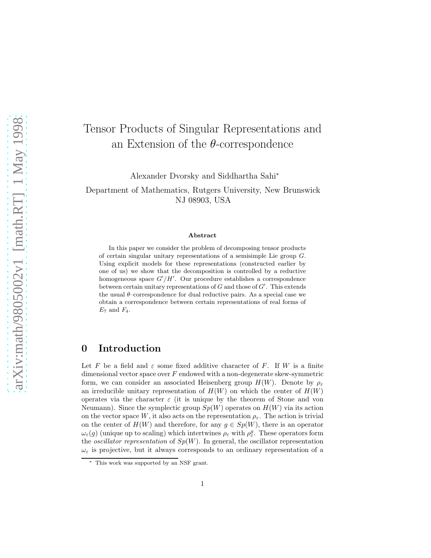# Tensor Products of Singular Representations and an Extension of the  $\theta$ -correspondence

Alexander Dvorsky and Siddhartha Sahi<sup>∗</sup>

Department of Mathematics, Rutgers University, New Brunswick NJ 08903, USA

#### Abstract

In this paper we consider the problem of decomposing tensor products of certain singular unitary representations of a semisimple Lie group G. Using explicit models for these representations (constructed earlier by one of us) we show that the decomposition is controlled by a reductive homogeneous space  $G'/H'$ . Our procedure establishes a correspondence between certain unitary representations of G and those of  $G'$ . This extends the usual  $\theta$ -correspondence for dual reductive pairs. As a special case we obtain a correspondence between certain representations of real forms of  $E_7$  and  $F_4$ .

## 0 Introduction

Let F be a field and  $\varepsilon$  some fixed additive character of F. If W is a finite dimensional vector space over  $F$  endowed with a non-degenerate skew-symmetric form, we can consider an associated Heisenberg group  $H(W)$ . Denote by  $\rho_{\varepsilon}$ an irreducible unitary representation of  $H(W)$  on which the center of  $H(W)$ operates via the character  $\varepsilon$  (it is unique by the theorem of Stone and von Neumann). Since the symplectic group  $Sp(W)$  operates on  $H(W)$  via its action on the vector space W, it also acts on the representation  $\rho_{\varepsilon}$ . The action is trivial on the center of  $H(W)$  and therefore, for any  $g \in Sp(W)$ , there is an operator  $\omega_{\varepsilon}(g)$  (unique up to scaling) which intertwines  $\rho_{\varepsilon}$  with  $\rho_{\varepsilon}^g$ . These operators form the *oscillator representation* of  $Sp(W)$ . In general, the oscillator representation  $\omega_{\varepsilon}$  is projective, but it always corresponds to an ordinary representation of a

This work was supported by an NSF grant.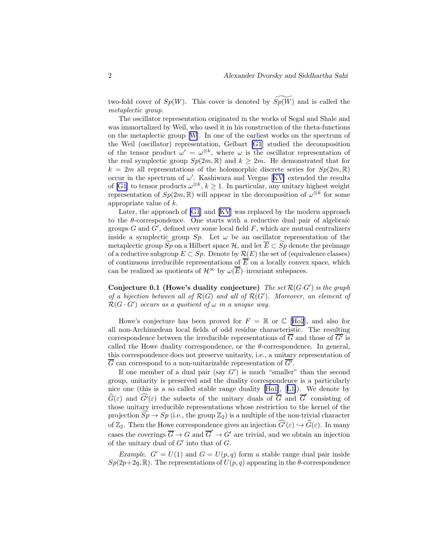two-fold cover of  $Sp(W)$ . This cover is denoted by  $Sp(W)$  and is called the metaplectic group.

The oscillator representation originated in the works of Segal and Shale and was immortalized by Weil, who used it in his construction of the theta-functions on the metaplectic group[[W](#page-18-0)]. In one of the earliest works on the spectrum of the Weil (oscillator) representation, Gelbart [\[G1](#page-17-0)] studied the decomposition of the tensor product  $\omega' = \omega^{\otimes k}$ , where  $\omega$  is the oscillator representation of the real symplectic group  $Sp(2m, \mathbb{R})$  and  $k \geq 2m$ . He demonstrated that for  $k = 2m$  all representations of the holomorphic discrete series for  $Sp(2m, \mathbb{R})$ occurin the spectrum of  $\omega'$ . Kashiwara and Vergne [[KV\]](#page-17-0) extended the results of [\[G1](#page-17-0)] to tensor products  $\omega^{\otimes k}$ ,  $k \geq 1$ . In particular, any unitary highest weight representation of  $Sp(2m, \mathbb{R})$  will appear in the decomposition of  $\omega^{\otimes k}$  for some appropriate value of k.

Later, the approach of [\[G1](#page-17-0)] and [\[KV](#page-17-0)] was replaced by the modern approach to the  $\theta$ -correspondence. One starts with a reductive dual pair of algebraic groups  $G$  and  $G'$ , defined over some local field  $F$ , which are mutual centralizers inside a symplectic group  $Sp$ . Let  $\omega$  be an oscillator representation of the metaplectic group  $Sp$  on a Hilbert space H, and let  $\overline{E} \subset Sp$  denote the preimage of a reductive subgroup  $E \subset Sp$ . Denote by  $\mathcal{R}(E)$  the set of (equivalence classes) of continuous irreducible representations of  $\overline{E}$  on a locally convex space, which can be realized as quotients of  $\mathcal{H}^{\infty}$  by  $\omega(\overline{E})$ –invariant subspaces.

Conjecture 0.1 (Howe's duality conjecture) The set  $\mathcal{R}(G \cdot G')$  is the graph of a bijection between all of  $\mathcal{R}(G)$  and all of  $\mathcal{R}(G')$ . Moreover, an element of  $\mathcal{R}(G \cdot G')$  occurs as a quotient of  $\omega$  in a unique way.

Howe's conjecture has been proved for  $F = \mathbb{R}$  or  $\mathbb{C}$  [[Ho2](#page-17-0)], and also for all non-Archimedean local fields of odd residue characteristic. The resulting correspondence between the irreducible representations of  $\overline{G}$  and those of  $\overline{G'}$  is called the Howe duality correspondence, or the  $\theta$ -correspondence. In general, this correspondence does not preserve unitarity, i.e., a unitary representation of  $\overline{G}$  can correspond to a non-unitarizable representation of  $\overline{G'}$ .

If one member of a dual pair (say  $G'$ ) is much "smaller" than the second group, unitarity is preserved and the duality correspondence is a particularly nice one (this is a so called stable range duality [\[Ho1\]](#page-17-0),[[L1\]](#page-18-0)). We denote by  $\widehat{G}(\varepsilon)$  and  $\widehat{G}'(\varepsilon)$  the subsets of the unitary duals of  $\overline{G}$  and  $\overline{G}'$  consisting of those unitary irreducible representations whose restriction to the kernel of the projection  $Sp \to Sp$  (i.e., the group  $\mathbb{Z}_2$ ) is a multiple of the non-trivial character of  $\mathbb{Z}_2$ . Then the Howe correspondence gives an injection  $\widehat{G}(\varepsilon) \hookrightarrow \widehat{G}(\varepsilon)$ . In many cases the coverings  $\overline{G} \to G$  and  $\overline{G}' \to G'$  are trivial, and we obtain an injection of the unitary dual of  $G'$  into that of  $G$ .

*Example.*  $G' = U(1)$  and  $G = U(p,q)$  form a stable range dual pair inside  $Sp(2p+2q,\mathbb{R})$ . The representations of  $U(p,q)$  appearing in the  $\theta$ -correspondence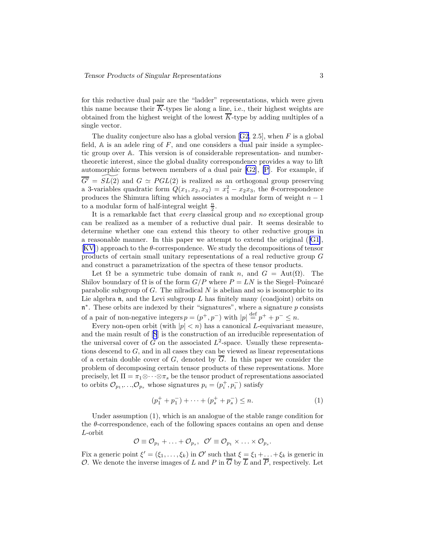for this reductive dual pair are the "ladder" representations, which were given this name because their  $\overline{K}$ -types lie along a line, i.e., their highest weights are obtained from the highest weight of the lowest  $\overline{K}$ -type by adding multiples of a single vector.

Theduality conjecture also has a global version  $[G2, 2.5]$  $[G2, 2.5]$  $[G2, 2.5]$ , when F is a global field,  $A$  is an adele ring of  $F$ , and one considers a dual pair inside a symplectic group over A. This version is of considerable representation- and numbertheoretic interest, since the global duality correspondence provides a way to lift automorphic forms between members of a dual pair [\[G2](#page-17-0)], [\[P\]](#page-18-0). For example, if  $\overline{G'}$  =  $SL(2)$  and  $G \simeq PGL(2)$  is realized as an orthogonal group preserving a 3-variables quadratic form  $Q(x_1, x_2, x_3) = x_1^2 - x_2 x_3$ , the  $\theta$ -correspondence produces the Shimura lifting which associates a modular form of weight  $n - 1$ to a modular form of half-integral weight  $\frac{n}{2}$ .

It is a remarkable fact that *every* classical group and no exceptional group can be realized as a member of a reductive dual pair. It seems desirable to determine whether one can extend this theory to other reductive groups in a reasonable manner. In this paper we attempt to extend the original ([\[G1\]](#page-17-0), [[KV\]](#page-17-0)) approach to the θ-correspondence. We study the decompositions of tensor products of certain small unitary representations of a real reductive group G and construct a parametrization of the spectra of these tensor products.

Let  $\Omega$  be a symmetric tube domain of rank n, and  $G = Aut(\Omega)$ . The Shilov boundary of  $\Omega$  is of the form  $G/P$  where  $P = LN$  is the Siegel–Poincaré parabolic subgroup of  $G$ . The nilradical  $N$  is abelian and so is isomorphic to its Lie algebra  $\mathfrak n$ , and the Levi subgroup L has finitely many (coadjoint) orbits on  $\mathfrak{n}^*$ . These orbits are indexed by their "signatures", where a signature  $p$  consists of a pair of non-negative integers  $p = (p^+, p^-)$  with  $|p| \stackrel{\text{def}}{=} p^+ + p^- \leq n$ .

Every non-open orbit (with  $|p| < n$ ) has a canonical L-equivariant measure, and the main result of[[S](#page-18-0)] is the construction of an irreducible representation of the universal cover of G on the associated  $L^2$ -space. Usually these representations descend to  $G$ , and in all cases they can be viewed as linear representations of a certain double cover of G, denoted by  $\overline{G}$ . In this paper we consider the problem of decomposing certain tensor products of these representations. More precisely, let  $\Pi = \pi_1 \otimes \cdots \otimes \pi_s$  be the tensor product of representations associated to orbits  $\mathcal{O}_{p_1}, \ldots, \mathcal{O}_{p_s}$  whose signatures  $p_i = (p_i^+, p_i^-)$  satisfy

$$
(p_1^+ + p_1^-) + \dots + (p_s^+ + p_s^-) \le n. \tag{1}
$$

Under assumption (1), which is an analogue of the stable range condition for the  $\theta$ -correspondence, each of the following spaces contains an open and dense L-orbit

$$
\mathcal{O}\equiv\mathcal{O}_{p_1}+\ldots+\mathcal{O}_{p_s},\ \ \mathcal{O}'\equiv\mathcal{O}_{p_1}\times\ldots\times\mathcal{O}_{p_s}.
$$

Fix a generic point  $\xi' = (\xi_1, \ldots, \xi_k)$  in  $\mathcal{O}'$  such that  $\xi = \xi_1 + \ldots + \xi_k$  is generic in O. We denote the inverse images of L and P in  $\overline{G}$  by  $\overline{L}$  and  $\overline{P}$ , respectively. Let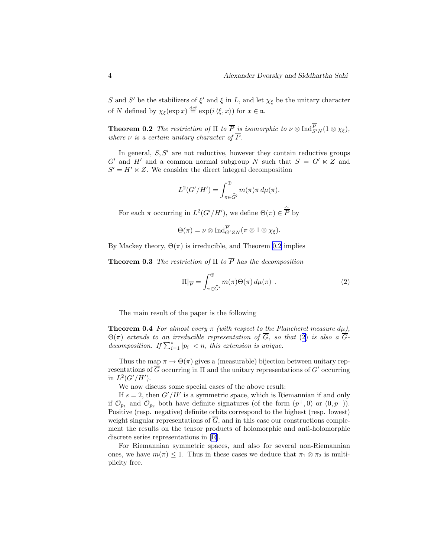<span id="page-3-0"></span>S and S' be the stabilizers of  $\xi'$  and  $\xi$  in  $\overline{L}$ , and let  $\chi_{\xi}$  be the unitary character of N defined by  $\chi_{\xi}(\exp x) \stackrel{\text{def}}{=} \exp(i \langle \xi, x \rangle)$  for  $x \in \mathfrak{n}$ .

**Theorem 0.2** The restriction of  $\Pi$  to  $\overline{P}$  is isomorphic to  $\nu \otimes \text{Ind}_{S'N}^P(1 \otimes \chi_{\xi}),$ where  $\nu$  is a certain unitary character of  $\overline{P}$ .

In general,  $S, S'$  are not reductive, however they contain reductive groups  $G'$  and  $H'$  and a common normal subgroup N such that  $S = G' \ltimes Z$  and  $S' = H' \ltimes Z$ . We consider the direct integral decomposition

$$
L^2(G'/H') = \int_{\pi \in \widehat{G'}}^{\oplus} m(\pi) \pi \, d\mu(\pi).
$$

For each  $\pi$  occurring in  $L^2(G'/H')$ , we define  $\Theta(\pi) \in \overline{P}$  by

$$
\Theta(\pi) = \nu \otimes \operatorname{Ind}_{G'ZN}^{\overline{P}}(\pi \otimes 1 \otimes \chi_{\xi}).
$$

By Mackey theory,  $\Theta(\pi)$  is irreducible, and Theorem 0.2 implies

**Theorem 0.3** The restriction of  $\Pi$  to  $\overline{P}$  has the decomposition

$$
\Pi|_{\overline{P}} = \int_{\pi \in \widehat{G}'}^{\oplus} m(\pi) \Theta(\pi) d\mu(\pi) . \qquad (2)
$$

The main result of the paper is the following

**Theorem 0.4** For almost every  $\pi$  (with respect to the Plancherel measure  $d\mu$ ),  $\Theta(\pi)$  extends to an irreducible representation of  $\overline{G}$ , so that (2) is also a  $\overline{G}$ decomposition. If  $\sum_{i=1}^{s} |p_i| < n$ , this extension is unique.

Thus the map  $\pi \to \Theta(\pi)$  gives a (measurable) bijection between unitary representations of  $\overline{G}$  occurring in  $\Pi$  and the unitary representations of  $G'$  occurring in  $L^2(G'/H')$ .

We now discuss some special cases of the above result:

If  $s = 2$ , then  $G'/H'$  is a symmetric space, which is Riemannian if and only if  $\mathcal{O}_{p_1}$  and  $\mathcal{O}_{p_2}$  both have definite signatures (of the form  $(p^+,0)$  or  $(0,p^-)$ ). Positive (resp. negative) definite orbits correspond to the highest (resp. lowest) weight singular representations of  $\overline{G}$ , and in this case our constructions complement the results on the tensor products of holomorphic and anti-holomorphic discrete series representations in [\[R\]](#page-18-0).

For Riemannian symmetric spaces, and also for several non-Riemannian ones, we have  $m(\pi) \leq 1$ . Thus in these cases we deduce that  $\pi_1 \otimes \pi_2$  is multiplicity free.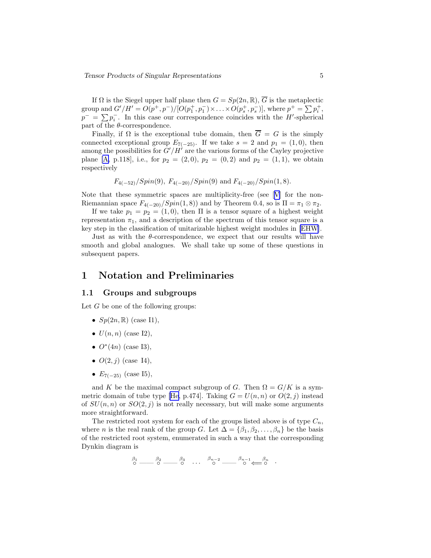If  $\Omega$  is the Siegel upper half plane then  $G = Sp(2n, \mathbb{R}), \overline{G}$  is the metaplectic group and  $G'/H' = O(p^+, p^-) / [O(p_1^+, p_1^-) \times \ldots \times O(p_s^+, p_s^-)],$  where  $p^+ = \sum p_i^+,$  $p^{-} = \sum p_i^{-}$ . In this case our correspondence coincides with the H'-spherical part of the  $\theta$ -correspondence.

Finally, if  $\Omega$  is the exceptional tube domain, then  $\overline{G} = G$  is the simply connected exceptional group  $E_{7(-25)}$ . If we take  $s = 2$  and  $p_1 = (1, 0)$ , then among the possibilities for  $G'/H'$  are the various forms of the Cayley projective plane [\[A,](#page-17-0) p.118], i.e., for  $p_2 = (2, 0), p_2 = (0, 2)$  and  $p_2 = (1, 1),$  we obtain respectively

$$
F_{4(-52)}/Spin(9), F_{4(-20)}/Spin(9)
$$
 and  $F_{4(-20)}/Spin(1,8)$ .

Note that these symmetric spaces are multiplicity-free (see[[V](#page-18-0)] for the non-Riemannian space  $F_{4(-20)}/Spin(1,8)$  and by Theorem 0.4, so is  $\Pi = \pi_1 \otimes \pi_2$ .

If we take  $p_1 = p_2 = (1, 0)$ , then  $\Pi$  is a tensor square of a highest weight representation  $\pi_1$ , and a description of the spectrum of this tensor square is a key step in the classification of unitarizable highest weight modules in [\[EHW\]](#page-17-0).

Just as with the  $\theta$ -correspondence, we expect that our results will have smooth and global analogues. We shall take up some of these questions in subsequent papers.

### 1 Notation and Preliminaries

### 1.1 Groups and subgroups

Let  $G$  be one of the following groups:

- $Sp(2n,\mathbb{R})$  (case I1),
- $U(n, n)$  (case I2),
- $O^*(4n)$  (case I3),
- $O(2, j)$  (case I4),
- $E_{7(-25)}$  (case I5),

and K be the maximal compact subgroup of G. Then  $\Omega = G/K$  is a sym-metricdomain of tube type [[He,](#page-17-0) p.474]. Taking  $G = U(n, n)$  or  $O(2, j)$  instead of  $SU(n, n)$  or  $SO(2, j)$  is not really necessary, but will make some arguments more straightforward.

The restricted root system for each of the groups listed above is of type  $C_n$ , where *n* is the real rank of the group G. Let  $\Delta = {\beta_1, \beta_2, ..., \beta_n}$  be the basis of the restricted root system, enumerated in such a way that the corresponding Dynkin diagram is

 $\begin{matrix} \beta_1 & \beta_2 & \beta_3 \\ 0 & \cdots & 0 \\ 0 & \cdots & 0 \end{matrix}$  ...  $\begin{matrix} \beta_{n-2} & \beta_{n-1} & \beta_n \\ 0 & \cdots & 0 \\ 0 & \cdots & 0 \end{matrix}$  .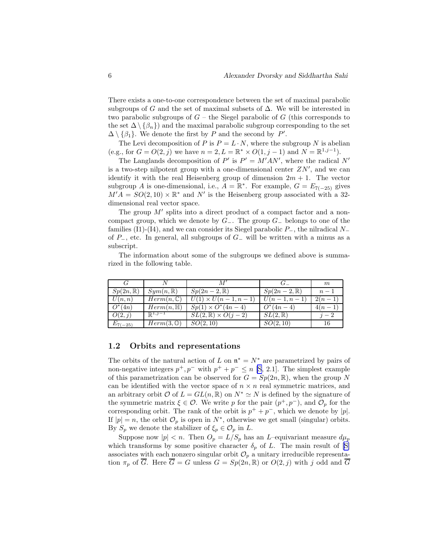There exists a one-to-one correspondence between the set of maximal parabolic subgroups of G and the set of maximal subsets of  $\Delta$ . We will be interested in two parabolic subgroups of  $G$  – the Siegel parabolic of G (this corresponds to the set  $\Delta \setminus {\beta_n}$  and the maximal parabolic subgroup corresponding to the set  $\Delta \setminus {\beta_1}$ . We denote the first by P and the second by P'.

The Levi decomposition of P is  $P = L \cdot N$ , where the subgroup N is abelian (e.g., for  $G = O(2, j)$  we have  $n = 2, L = \mathbb{R}^* \times O(1, j - 1)$  and  $N = \mathbb{R}^{1, j-1}$ ).

The Langlands decomposition of P' is  $P' = M'AN'$ , where the radical N' is a two-step nilpotent group with a one-dimensional center  $ZN'$ , and we can identify it with the real Heisenberg group of dimension  $2m + 1$ . The vector subgroup A is one-dimensional, i.e.,  $A = \mathbb{R}^*$ . For example,  $G = E_{7(-25)}$  gives  $M'A = SO(2, 10) \times \mathbb{R}^*$  and N' is the Heisenberg group associated with a 32dimensional real vector space.

The group  $M'$  splits into a direct product of a compact factor and a noncompact group, which we denote by  $G_-\$ . The group  $G_-\$  belongs to one of the families (I1)-(I4), and we can consider its Siegel parabolic  $P_$ , the nilradical  $N_$ of  $P_-,$  etc. In general, all subgroups of  $G_-\,$  will be written with a minus as a subscript.

The information about some of the subgroups we defined above is summarized in the following table.

|                     |                       |                                 |                       | m        |
|---------------------|-----------------------|---------------------------------|-----------------------|----------|
| $Sp(2n,\mathbb{R})$ | $Sym(n, \mathbb{R})$  | $Sp(2n-2,\mathbb{R})$           | $Sp(2n-2,\mathbb{R})$ | $n-1$    |
| U(n,n)              | $Herm(n,\mathbb{C})$  | $U(1) \times U(n-1, n-1)$       | $U(n-1,n-1)$          | $2(n-1)$ |
| $O^*(4n)$           | $Herm(n, \mathbb{H})$ | $Sp(1) \times O^*(4n-4)$        | $O^*(4n-4)$           | $4(n-1)$ |
| O(2,j)              | $\mathbb{R}^{1,j-1}$  | $SL(2,\mathbb{R})\times O(j-2)$ | $SL(2,\mathbb{R})$    | $i-2$    |
| $E_{7(-25)}$        | $Herm(3, \mathbb{O})$ | SO(2, 10)                       | SO(2, 10)             | 16       |

### 1.2 Orbits and representations

The orbits of the natural action of L on  $\mathfrak{n}^* = N^*$  are parametrized by pairs of non-negative integers  $p^+, p^-$  with  $p^+ + p^- \le n$  [\[S,](#page-18-0) 2.1]. The simplest example of this parametrization can be observed for  $G = Sp(2n, \mathbb{R})$ , when the group N can be identified with the vector space of  $n \times n$  real symmetric matrices, and an arbitrary orbit  $\mathcal O$  of  $L = GL(n, \mathbb R)$  on  $N^* \simeq N$  is defined by the signature of the symmetric matrix  $\xi \in \mathcal{O}$ . We write p for the pair  $(p^+, p^-)$ , and  $\mathcal{O}_p$  for the corresponding orbit. The rank of the orbit is  $p^+ + p^-$ , which we denote by |p|. If  $|p| = n$ , the orbit  $\mathcal{O}_p$  is open in  $N^*$ , otherwise we get small (singular) orbits. By  $S_p$  we denote the stabilizer of  $\xi_p \in \mathcal{O}_p$  in L.

Suppose now  $|p| < n$ . Then  $O_p = L/S_p$  has an *L*-equivariant measure  $d\mu_p$ which transforms by some positive character  $\delta_p$  of L. The main result of [\[S\]](#page-18-0) associates with each nonzero singular orbit  $\mathcal{O}_p$  a unitary irreducible representation  $\pi_p$  of  $\overline{G}$ . Here  $\overline{G} = G$  unless  $G = Sp(2n, \mathbb{R})$  or  $O(2, j)$  with j odd and  $\overline{G}$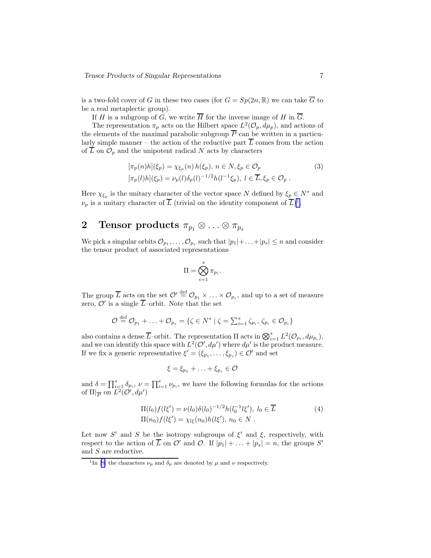<span id="page-6-0"></span>is a two-fold cover of G in these two cases (for  $G = Sp(2n, \mathbb{R})$  we can take  $\overline{G}$  to be a real metaplectic group).

If H is a subgroup of G, we write  $\overline{H}$  for the inverse image of H in  $\overline{G}$ .

The representation  $\pi_p$  acts on the Hilbert space  $L^2(\mathcal{O}_p, d\mu_p)$ , and actions of the elements of the maximal parabolic subgroup  $\overline{P}$  can be written in a particularly simple manner – the action of the reductive part  $\overline{L}$  comes from the action of  $\overline{L}$  on  $\mathcal{O}_p$  and the unipotent radical N acts by characters

$$
[\pi_p(n)h](\xi_p) = \chi_{\xi_p}(n) h(\xi_p), n \in N, \xi_p \in \mathcal{O}_p
$$
  

$$
[\pi_p(l)h](\xi_p) = \nu_p(l)\delta_p(l)^{-1/2}h(l^{-1}\xi_p), l \in \overline{L}, \xi_p \in \mathcal{O}_p.
$$
 (3)

Here  $\chi_{\xi_p}$  is the unitary character of the vector space N defined by  $\xi_p \in N^*$  and  $\nu_p$  is a unitary character of  $\overline{L}$  (trivial on the identity component of  $\overline{L})^1$ .

## 2 Tensor products  $\pi_{p_1} \otimes \ldots \otimes \pi_{p_s}$

We pick s singular orbits  $\mathcal{O}_{p_1}, \ldots, \mathcal{O}_{p_s}$  such that  $|p_1| + \ldots + |p_s| \leq n$  and consider the tensor product of associated representations

$$
\Pi = \bigotimes_{i=1}^s \pi_{p_i}.
$$

The group  $\overline{L}$  acts on the set  $\mathcal{O}' \stackrel{\text{def}}{=} \mathcal{O}_{p_1} \times \ldots \times \mathcal{O}_{p_s}$ , and up to a set of measure zero,  $\mathcal{O}'$  is a single  $\overline{L}$ -orbit. Note that the set

$$
\mathcal{O} \stackrel{\text{def}}{=} \mathcal{O}_{p_1} + \ldots + \mathcal{O}_{p_s} = \{ \zeta \in N^* \mid \zeta = \sum_{i=1}^s \zeta_{p_i}, \zeta_{p_i} \in \mathcal{O}_{p_i} \}
$$

also contains a dense  $\overline{L}$ -orbit. The representation  $\Pi$  acts in  $\bigotimes_{i=1}^s L^2(\mathcal{O}_{p_i}, d\mu_{p_i}),$ and we can identify this space with  $L^2(\mathcal{O}', d\mu')$  where  $d\mu'$  is the product measure. If we fix a generic representative  $\xi' = (\xi_{p_1}, \ldots, \xi_{p_s}) \in \mathcal{O}'$  and set

$$
\xi = \xi_{p_1} + \ldots + \xi_{p_s} \in \mathcal{O}
$$

and  $\delta = \prod_{i=1}^s \delta_{p_i}, \nu = \prod_{i=1}^s \nu_{p_i}$ , we have the following formulas for the actions of  $\Pi|_{\overline{P}}$  on  $\overline{L}^2(\mathcal{O}', d\mu')$ 

$$
\Pi(l_0) f(l\xi') = \nu(l_0) \delta(l_0)^{-1/2} h(l_0^{-1}l\xi'), \ l_0 \in \overline{L}
$$
\n
$$
\Pi(n_0) f(l\xi') = \chi_{l\xi}(n_0) h(l\xi'), \ n_0 \in N \ .
$$
\n(4)

Let now S' and S be the isotropy subgroups of  $\xi'$  and  $\xi$ , respectively, with respect to the action of  $\overline{L}$  on  $\mathcal{O}'$  and  $\mathcal{O}$ . If  $|p_1| + \ldots + |p_s| = n$ , the groups  $S'$ and S are reductive.

<sup>&</sup>lt;sup>1</sup>In[[S\]](#page-18-0) the characters  $\nu_p$  and  $\delta_p$  are denoted by  $\mu$  and  $\nu$  respectively.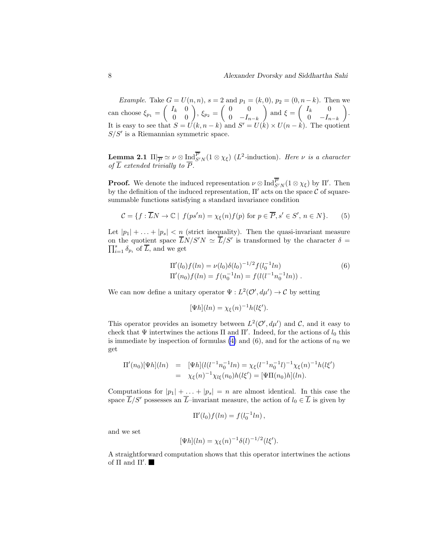*Example.* Take  $G = U(n, n)$ ,  $s = 2$  and  $p_1 = (k, 0)$ ,  $p_2 = (0, n-k)$ . Then we can choose  $\xi_{p_1} =$  $\left(\begin{array}{cc} I_k & 0 \ 0 & 0 \end{array}\right), \xi_{p_2} =$  $\begin{pmatrix} 0 & 0 \\ 0 & 0 \end{pmatrix}$ 0  $-I_{n-k}$  $\Delta$ and  $\xi =$  $\left( \begin{array}{ccc} I_k & 0 \end{array} \right)$ 0  $-I_{n-k}$  $\overline{ }$ . It is easy to see that  $S = U(k, n - k)$  and  $S' = U(k) \times U(n - k)$ . The quotient  $S/S'$  is a Riemannian symmetric space.

**Lemma 2.1**  $\Pi|_{\overline{P}} \simeq \nu \otimes \underline{\mathrm{Ind}}_{S'N}^P(1 \otimes \chi_{\xi})$  (*L*<sup>2</sup>-induction). Here  $\nu$  is a character of L extended trivially to P.

**Proof.** We denote the induced representation  $\nu \otimes \text{Ind}_{S'N}^P(1 \otimes \chi_{\xi})$  by  $\Pi'$ . Then by the definition of the induced representation,  $\Pi'$  acts on the space C of squaresummable functions satisfying a standard invariance condition

$$
\mathcal{C} = \{ f : \overline{L}N \to \mathbb{C} \mid f(ps'n) = \chi_{\xi}(n)f(p) \text{ for } p \in \overline{P}, s' \in S', n \in N \}. \tag{5}
$$

Let  $|p_1| + \ldots + |p_s| < n$  (strict inequality). Then the quasi-invariant measure on the quotient space  $\overline{L}N/S'N \simeq \overline{L}/S'$  is transformed by the character  $\delta =$  $\prod_{i=1}^s \delta_{p_i}$  of  $\overline{L}$ , and we get

$$
\Pi'(l_0) f(ln) = \nu(l_0) \delta(l_0)^{-1/2} f(l_0^{-1}l n)
$$
\n
$$
\Pi'(n_0) f(ln) = f(n_0^{-1}l n) = f(l(l^{-1}n_0^{-1}l n)).
$$
\n(6)

We can now define a unitary operator  $\Psi: L^2(\mathcal{O}', d\mu') \to \mathcal{C}$  by setting

$$
[\Psi h](\ln) = \chi_{\xi}(n)^{-1}h(l\xi').
$$

This operator provides an isometry between  $L^2(\mathcal{O}', d\mu')$  and  $\mathcal{C}$ , and it easy to check that  $\Psi$  intertwines the actions  $\Pi$  and  $\Pi'$ . Indeed, for the actions of  $l_0$  this is immediate by inspection of formulas  $(4)$  and  $(6)$ , and for the actions of  $n_0$  we get

$$
\Pi'(n_0)[\Psi h](ln) = [\Psi h](l(l^{-1}n_0^{-1}ln) = \chi_{\xi}(l^{-1}n_0^{-1}l)^{-1}\chi_{\xi}(n)^{-1}h(l\xi')
$$
  
=  $\chi_{\xi}(n)^{-1}\chi_{l\xi}(n_0)h(l\xi') = [\Psi \Pi(n_0)h](ln).$ 

Computations for  $|p_1| + \ldots + |p_s| = n$  are almost identical. In this case the space  $\overline{L}/S'$  possesses an  $\overline{L}$ –invariant measure, the action of  $l_0 \in \overline{L}$  is given by

$$
\Pi'(l_0) f(ln) = f(l_0^{-1} ln),
$$

and we set

$$
[\Psi h](\ln) = \chi_{\xi}(n)^{-1} \delta(l)^{-1/2} (l\xi').
$$

A straightforward computation shows that this operator intertwines the actions of  $\Pi$  and  $\Pi'$ .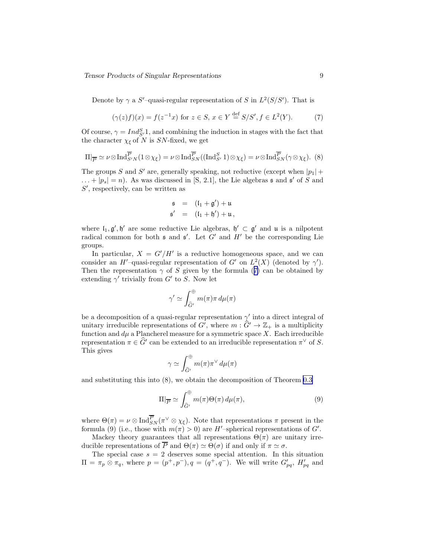<span id="page-8-0"></span>Denote by  $\gamma$  a S'-quasi-regular representation of S in  $L^2(S/S')$ . That is

$$
(\gamma(z)f)(x) = f(z^{-1}x) \text{ for } z \in S, \ x \in Y \stackrel{\text{def}}{=} S/S', \ f \in L^2(Y). \tag{7}
$$

Of course,  $\gamma = Ind_{S'}^S 1$ , and combining the induction in stages with the fact that the character  $\chi_{\xi}$  of N is SN-fixed, we get

$$
\Pi|_{\overline{P}} \simeq \nu \otimes \text{Ind}_{S'N}^{\overline{P}}(1 \otimes \chi_{\xi}) = \nu \otimes \text{Ind}_{SN}^{\overline{P}}((\text{Ind}_{S'}^{S} 1) \otimes \chi_{\xi}) = \nu \otimes \text{Ind}_{SN}^{\overline{P}}(\gamma \otimes \chi_{\xi}).
$$
 (8)

The groups S and S' are, generally speaking, not reductive (except when  $|p_1|$  +  $\dots + |p_s| = n$ . As was discussed in [S, 2.1], the Lie algebras  $\mathfrak s$  and  $\mathfrak s'$  of S and S', respectively, can be written as

$$
\begin{array}{rcl}\n\mathfrak{s} & = & (l_1 + \mathfrak{g}') + \mathfrak{u} \\
\mathfrak{s}' & = & (l_1 + \mathfrak{h}') + \mathfrak{u}\n\end{array}
$$

where  $I_1, g', h'$  are some reductive Lie algebras,  $h' \subset g'$  and  $\mu$  is a nilpotent radical common for both  $\mathfrak s$  and  $\mathfrak s'$ . Let  $G'$  and  $H'$  be the corresponding Lie groups.

In particular,  $X = G'/H'$  is a reductive homogeneous space, and we can consider an H'-quasi-regular representation of G' on  $L^2(X)$  (denoted by  $\gamma'$ ). Then the representation  $\gamma$  of S given by the formula (7) can be obtained by extending  $\gamma'$  trivially from  $G'$  to S. Now let

$$
\gamma' \simeq \int_{\hat{G}'}^{\oplus} m(\pi) \pi \, d\mu(\pi)
$$

be a decomposition of a quasi-regular representation  $\gamma'$  into a direct integral of unitary irreducible representations of  $G'$ , where  $m : \widehat{G}' \to \mathbb{Z}_+$  is a multiplicity function and  $d\mu$  a Plancherel measure for a symmetric space X. Each irreducible representation  $\pi \in \widehat{G}'$  can be extended to an irreducible representation  $\pi^{\vee}$  of S. This gives

$$
\gamma \simeq \int_{\hat{G}'}^{\oplus} m(\pi) \pi^{\vee} d\mu(\pi)
$$

and substituting this into (8), we obtain the decomposition of Theorem [0.3](#page-3-0)

$$
\Pi|_{\overline{P}} \simeq \int_{\widehat{G}'}^{\oplus} m(\pi) \Theta(\pi) d\mu(\pi), \tag{9}
$$

where  $\Theta(\pi) = \nu \otimes \text{Ind}_{SN}^P(\pi^{\vee} \otimes \chi_{\xi})$ . Note that representations  $\pi$  present in the formula (9) (i.e., those with  $m(\pi) > 0$ ) are H'-spherical representations of G'.

Mackey theory guarantees that all representations  $\Theta(\pi)$  are unitary irreducible representations of  $\overline{P}$  and  $\Theta(\pi) \simeq \Theta(\sigma)$  if and only if  $\pi \simeq \sigma$ .

The special case  $s = 2$  deserves some special attention. In this situation  $\Pi = \pi_p \otimes \pi_q$ , where  $p = (p^+, p^-), q = (q^+, q^-)$ . We will write  $G'_{pq}$ ,  $H'_{pq}$  and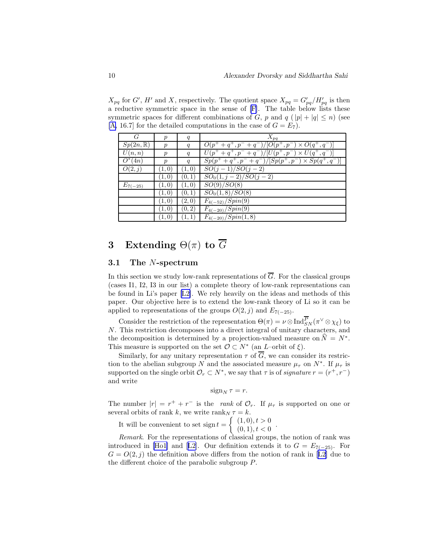$X_{pq}$  for G', H' and X, respectively. The quotient space  $X_{pq} = G'_{pq}/H'_{pq}$  is then a reductive symmetric space in the sense of [\[F\]](#page-17-0). The table below lists these symmetric spaces for different combinations of G, p and  $q$  ( $|p| + |q| \le n$ ) (see [\[A,](#page-17-0) 16.7] for the detailed computations in the case of  $G = E_7$ ].

| G                   | $\mathcal{p}$    | q      | $X_{pq}$                                                                      |
|---------------------|------------------|--------|-------------------------------------------------------------------------------|
| $Sp(2n,\mathbb{R})$ | р                | q      | $O(p^+ + q^+, p^- + q^-)/[O(p^+, p^-) \times O(q^+, q^-)]$                    |
| U(n,n)              | $\boldsymbol{p}$ | q      | $\overline{U(p^++q^+,p^-+q^-)/[U(p^+,p^-)\times U(q^+,q^-)]}$                 |
| $O^*(4n)$           | $\boldsymbol{p}$ | q      | $Sp(p^{+} + q^{+}, p^{-} + q^{-})/[Sp(p^{+}, p^{-}) \times Sp(q^{+}, q^{-})]$ |
| $\overline{O}(2,j)$ | (1,0)            | (1,0)  | $SO(j-1)/SO(j-2)$                                                             |
|                     | (1,0)            | (0, 1) | $SO_0(1, j-2)/SO(j-2)$                                                        |
| $E_{7(-25)}$        | (1,0)            | (1,0)  | SO(9)/SO(8)                                                                   |
|                     | (1,0)            | (0,1)  | $\overline{SO_0(1,8)/SO(8)}$                                                  |
|                     | (1,0)            | (2,0)  | $F_{4(-52)}/Spin(9)$                                                          |
|                     | (1,0)            | (0, 2) | $F_{4(-20)}/Spin(9)$                                                          |
|                     | (1,0)            | (1, 1) | $F_{4(-20)}/Spin(1,8)$                                                        |

# 3 Extending  $\Theta(\pi)$  to  $\overline{G}$

#### 3.1 The N-spectrum

In this section we study low-rank representations of  $\overline{G}$ . For the classical groups (cases I1, I2, I3 in our list) a complete theory of low-rank representations can be found in Li's paper [\[L2\]](#page-18-0). We rely heavily on the ideas and methods of this paper. Our objective here is to extend the low-rank theory of Li so it can be applied to representations of the groups  $O(2, j)$  and  $E_{7(-25)}$ .

Consider the restriction of the representation  $\Theta(\pi) = \nu \otimes \text{Ind}_{SN}^P(\pi^{\vee} \otimes \chi_{\xi})$  to N. This restriction decomposes into a direct integral of unitary characters, and the decomposition is determined by a projection-valued measure on  $\widehat{N} = N^*$ . This measure is supported on the set  $\mathcal{O} \subset N^*$  (an *L*–orbit of  $\xi$ ).

Similarly, for any unitary representation  $\tau$  of  $\overline{G}$ , we can consider its restriction to the abelian subgroup N and the associated measure  $\mu_{\tau}$  on  $N^*$ . If  $\mu_{\tau}$  is supported on the single orbit  $\mathcal{O}_r \subset N^*$ , we say that  $\tau$  is of *signature*  $r = (r^+, r^-)$ and write

$$
\operatorname{sign}_N \tau = r.
$$

The number  $|r| = r^+ + r^-$  is the rank of  $\mathcal{O}_r$ . If  $\mu_{\tau}$  is supported on one or several orbits of rank k, we write  $\text{rank}_N \tau = k$ .

It will be convenient to set  $\text{sign } t =$  $(1, 0), t > 0$  $(0, 1), t < 0$ 

Remark. For the representations of classical groups, the notion of rank was introduced in [\[Ho1\]](#page-17-0)and [[L2\]](#page-18-0). Our definition extends it to  $G = E_{7(-25)}$ . For  $G = O(2, j)$  $G = O(2, j)$  $G = O(2, j)$  the definition above differs from the notion of rank in [[L2](#page-18-0)] due to the different choice of the parabolic subgroup P.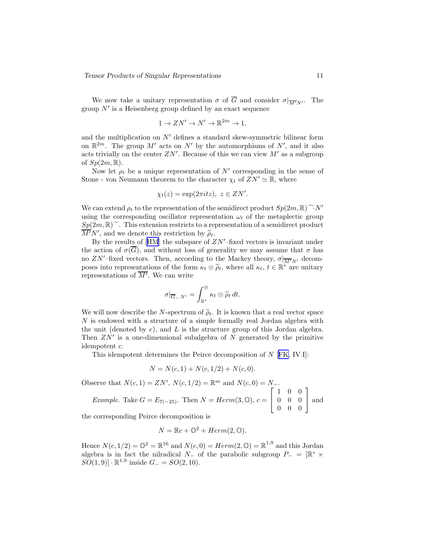We now take a unitary representation  $\sigma$  of  $\overline{G}$  and consider  $\sigma|_{\overline{M'}N'}$ . The group  $N'$  is a Heisenberg group defined by an exact sequence

$$
1 \to ZN' \to N' \to \mathbb{R}^{2m} \to 1,
$$

and the multiplication on  $N'$  defines a standard skew-symmetric bilinear form on  $\mathbb{R}^{2m}$ . The group M' acts on N' by the automorphisms of N', and it also acts trivially on the center  $ZN'$ . Because of this we can view  $M'$  as a subgroup of  $Sp(2m,\mathbb{R})$ .

Now let  $\rho_t$  be a unique representation of N' corresponding in the sense of Stone - von Neumann theorem to the character  $\chi_t$  of  $ZN' \simeq \mathbb{R}$ , where

$$
\chi_t(z) = \exp(2\pi i t z), \ z \in ZN'.
$$

We can extend  $\rho_t$  to the representation of the semidirect product  $Sp(2m, \mathbb{R})\tilde{\longrightarrow}N'$ using the corresponding oscillator representation  $\omega_t$  of the metaplectic group  $Sp(2m, \mathbb{R})^{\sim}$ . This extension restricts to a representation of a semidirect product  $\overline{M'N'}$ , and we denote this restriction by  $\widetilde{\rho}_t$ .

Bythe results of  $[HM]$  $[HM]$  $[HM]$  the subspace of  $ZN'$ –fixed vectors is invariant under the action of  $\sigma(\overline{G})$ , and without loss of generality we may assume that  $\sigma$  has no ZN'–fixed vectors. Then, according to the Mackey theory,  $\sigma|_{\overline{M'}N'}$  decomposes into representations of the form  $\kappa_t \otimes \widetilde{\rho}_t$ , where all  $\kappa_t$ ,  $t \in \mathbb{R}^*$  are unitary representations of  $\overline{M'}$ . We can write

$$
\sigma|_{\overline{G}_- N'} = \int_{\mathbb{R}^*}^{\oplus} \kappa_t \otimes \widetilde{\rho}_t dt.
$$

We will now describe the N-spectrum of  $\tilde{\rho}_t$ . It is known that a real vector space  $N$  is endowed with a structure of a simple formally real Jordan algebra with the unit (denoted by  $e$ ), and  $L$  is the structure group of this Jordan algebra. Then  $ZN'$  is a one-dimensional subalgebra of N generated by the primitive idempotent c.

This idempotent determines the Peirce decomposition of N [[FK,](#page-17-0) IV.I]:

$$
N = N(c, 1) + N(c, 1/2) + N(c, 0).
$$

Observe that  $N(c, 1) = ZN'$ ,  $N(c, 1/2) = \mathbb{R}^m$  and  $N(c, 0) = N_-$ . Example. Take  $G = E_{7(-25)}$ . Then  $N = Herm(3, \mathbb{O}), c =$  $\overline{1}$  $\mathbf{I}$ 1 0 0 0 0 0 0 0 0 Ĭ. and

the corresponding Peirce decomposition is

$$
N = \mathbb{R}c + \mathbb{O}^2 + Herm(2, \mathbb{O}).
$$

Hence  $N(c, 1/2) = \mathbb{O}^2 = \mathbb{R}^{16}$  and  $N(c, 0) = Herm(2, \mathbb{O}) = \mathbb{R}^{1,9}$  and this Jordan algebra is in fact the nilradical  $N_{-}$  of the parabolic subgroup  $P_{-} = [\mathbb{R}^* \times$  $SO(1,9)] \cdot \mathbb{R}^{1,9}$  inside  $G_{-} = SO(2,10)$ .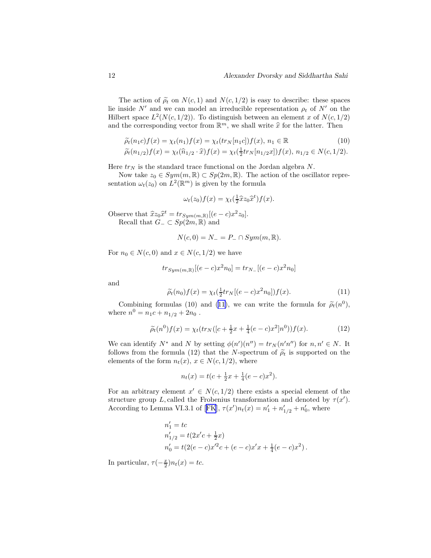The action of  $\tilde{\rho}_t$  on  $N(c, 1)$  and  $N(c, 1/2)$  is easy to describe: these spaces lie inside  $N'$  and we can model an irreducible representation  $\rho_t$  of  $N'$  on the Hilbert space  $L^2(N(c, 1/2))$ . To distinguish between an element x of  $N(c, 1/2)$ and the corresponding vector from  $\mathbb{R}^m$ , we shall write  $\hat{x}$  for the latter. Then

$$
\widetilde{\rho_t}(n_1c)f(x) = \chi_t(n_1)f(x) = \chi_t(tr_N[n_1c])f(x), n_1 \in \mathbb{R}
$$
\n(10)

$$
\widetilde{\rho}_t(n_{1/2})f(x) = \chi_t(\widehat{n}_{1/2} \cdot \widehat{x})f(x) = \chi_t(\frac{1}{2}tr_N[n_{1/2}x])f(x), \ n_{1/2} \in N(c, 1/2).
$$

Here  $tr_N$  is the standard trace functional on the Jordan algebra N.

Now take  $z_0 \in Sym(m, \mathbb{R}) \subset Sp(2m, \mathbb{R})$ . The action of the oscillator representation  $\omega_t(z_0)$  on  $L^2(\mathbb{R}^m)$  is given by the formula

$$
\omega_t(z_0)f(x) = \chi_t(\tfrac{1}{2}\widehat{x}z_0\widehat{x}^t)f(x).
$$

Observe that  $\hat{x}z_0\hat{x}^t = tr_{Sym(m,\mathbb{R})}[(e-c)x^2z_0].$ Recall that  $G_-\subset Sp(2m,\mathbb{R})$  and

$$
N(c,0) = N_- = P_- \cap Sym(m,\mathbb{R}).
$$

For  $n_0 \in N(c, 0)$  and  $x \in N(c, 1/2)$  we have

$$
tr_{Sym(m,\mathbb{R})}[(e-c)x^2n_0] = tr_{N_-}[(e-c)x^2n_0]
$$

and

$$
\widetilde{\rho_t}(n_0)f(x) = \chi_t(\frac{1}{2}tr_N[(e-c)x^2n_0])f(x). \tag{11}
$$

Combining formulas (10) and (11), we can write the formula for  $\tilde{\rho}_t(n^0)$ , where  $n^0 = n_1c + n_{1/2} + 2n_0$ .

$$
\widetilde{\rho}_t(n^0)f(x) = \chi_t(tr_N([c + \frac{1}{2}x + \frac{1}{4}(e - c)x^2]n^0))f(x).
$$
\n(12)

We can identify  $N^*$  and N by setting  $\phi(n')(n'') = tr_N(n'n'')$  for  $n, n' \in N$ . It follows from the formula (12) that the N-spectrum of  $\tilde{\rho}_t$  is supported on the elements of the form  $n_t(x)$ ,  $x \in N(c, 1/2)$ , where

$$
n_t(x) = t(c + \frac{1}{2}x + \frac{1}{4}(e - c)x^2).
$$

For an arbitrary element  $x' \in N(c, 1/2)$  there exists a special element of the structure group L, called the Frobenius transformation and denoted by  $\tau(x')$ . Accordingto Lemma VI.3.1 of [[FK](#page-17-0)],  $\tau(x')n_t(x) = n'_1 + n'_{1/2} + n'_0$ , where

$$
\begin{aligned} n_1' &= tc\\ n_{1/2}' &= t(2x'c + \frac{1}{2}x)\\ n_0' &= t(2(e-c)x'^2c + (e-c)x'x + \frac{1}{4}(e-c)x^2) \,. \end{aligned}
$$

In particular,  $\tau(-\frac{x}{2})n_t(x) = tc.$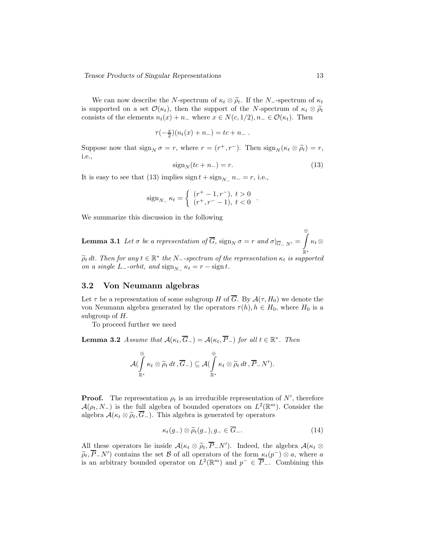<span id="page-12-0"></span>We can now describe the N-spectrum of  $\kappa_t \otimes \tilde{\rho}_t$ . If the N--spectrum of  $\kappa_t$ is supported on a set  $\mathcal{O}(\kappa_t)$ , then the support of the N-spectrum of  $\kappa_t \otimes \tilde{\rho}_t$ consists of the elements  $n_t(x) + n_-\,$  where  $x \in N(c, 1/2), n_-\in \mathcal{O}(\kappa_t)$ . Then

$$
\tau(-\frac{x}{2})(n_t(x)+n_-)=tc+n_-.
$$

Suppose now that  $\operatorname{sign}_N \sigma = r$ , where  $r = (r^+, r^-)$ . Then  $\operatorname{sign}_N(\kappa_t \otimes \widetilde{\rho}_t) = r$ , i.e.,

$$
signN(tc + n-) = r.
$$
\n(13)

It is easy to see that (13) implies  $\text{sign } t + \text{sign}_{N_-} n_- = r$ , i.e.,

$$
\text{sign}_{N_-} \; \kappa_t = \left\{ \begin{array}{ll} (r^+ - 1, r^-), \; t > 0 \\ (r^+, r^- - 1), \; t < 0 \end{array} \right. .
$$

We summarize this discussion in the following

**Lemma 3.1** Let  $\sigma$  be a representation of G,  $\text{sign}_N \sigma = r$  and  $\sigma|_{\overline{G}_- N'} =$  $\bigoplus$ R∗  $\kappa_t \otimes$ 

 $\widetilde{\rho}_t$  dt. Then for any  $t \in \mathbb{R}^*$  the N--spectrum of the representation  $\kappa_t$  is supported on a single  $L_$ -orbit, and  $\operatorname{sign}_{N_-} \kappa_t = r - \operatorname{sign} t$ .

### 3.2 Von Neumann algebras

Let  $\tau$  be a representation of some subgroup H of  $\overline{G}$ . By  $\mathcal{A}(\tau, H_0)$  we denote the von Neumann algebra generated by the operators  $\tau(h)$ ,  $h \in H_0$ , where  $H_0$  is a subgroup of H.

To proceed further we need

**Lemma 3.2** Assume that  $\mathcal{A}(\kappa_t, \overline{G}_-) = \mathcal{A}(\kappa_t, \overline{P}_-)$  for all  $t \in \mathbb{R}^*$ . Then

$$
\mathcal{A}(\int\limits_{\mathbb{R}^*}^{\oplus} \kappa_t \otimes \widetilde{\rho}_t dt \, , \overline{G}_{-}) \subseteq \mathcal{A}(\int\limits_{\mathbb{R}^*}^{\oplus} \kappa_t \otimes \widetilde{\rho}_t dt \, , \overline{P}_{-}N').
$$

**Proof.** The representation  $\rho_t$  is an irreducible representation of N', therefore  $\mathcal{A}(\rho_t, N_-)$  is the full algebra of bounded operators on  $L^2(\mathbb{R}^m)$ . Consider the algebra  $\mathcal{A}(\kappa_t \otimes \widetilde{\rho}_t, \overline{G}_-)$ . This algebra is generated by operators

$$
\kappa_t(g_-) \otimes \widetilde{\rho}_t(g_-), g_- \in \overline{G}_-.
$$
\n(14)

All these operators lie inside  $\mathcal{A}(\kappa_t \otimes \widetilde{\rho}_t, \overline{P}_N)$ . Indeed, the algebra  $\mathcal{A}(\kappa_t \otimes \widetilde{\rho}_t, \overline{P}_N)$  $(\widetilde{\rho}_t, \overline{P}_N)$  contains the set B of all operators of the form  $\kappa_t(p^-) \otimes a$ , where a is an arbitrary bounded operator on  $L^2(\mathbb{R}^m)$  and  $p^- \in \overline{P}_-$ . Combining this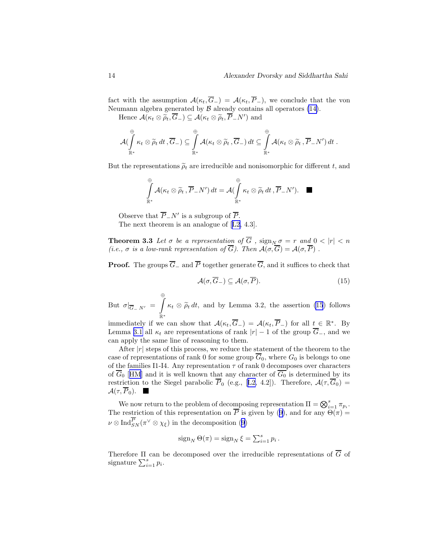<span id="page-13-0"></span>fact with the assumption  $\mathcal{A}(\kappa_t, \overline{G}_-) = \mathcal{A}(\kappa_t, \overline{P}_-),$  we conclude that the von Neumann algebra generated by  $\beta$  already contains all operators [\(14\)](#page-12-0).

Hence  $\mathcal{A}(\kappa_t \otimes \widetilde{\rho}_t, \overline{G}_-) \subseteq \mathcal{A}(\kappa_t \otimes \widetilde{\rho}_t, \overline{P}_-N')$  and

$$
\mathcal{A}(\int\limits_{\mathbb{R}^*}^{\oplus} \kappa_t \otimes \widetilde{\rho}_t dt ,\overline{G}_{-}) \subseteq \int\limits_{\mathbb{R}^*}^{\oplus} \mathcal{A}(\kappa_t \otimes \widetilde{\rho}_t ,\overline{G}_{-}) dt \subseteq \int\limits_{\mathbb{R}^*}^{\oplus} \mathcal{A}(\kappa_t \otimes \widetilde{\rho}_t ,\overline{P}_{-}N') dt .
$$

But the representations  $\tilde{\rho}_t$  are irreducible and nonisomorphic for different t, and

$$
\int_{\mathbb{R}^*}^{\oplus} \mathcal{A}(\kappa_t \otimes \widetilde{\rho}_t , \overline{P}_{-}N') dt = \mathcal{A}(\int_{\mathbb{R}^*}^{\oplus} \kappa_t \otimes \widetilde{\rho}_t dt , \overline{P}_{-}N'). \quad \blacksquare
$$

Observe that  $\overline{P}_-N'$  is a subgroup of  $\overline{P}$ .

The next theorem is an analogue of[[L2](#page-18-0), 4.3].

**Theorem 3.3** Let  $\sigma$  be a representation of G ,  $\text{sign}_{N} \sigma = r$  and  $0 < |r| < n$ (i.e.,  $\sigma$  is a low-rank representation of G). Then  $\mathcal{A}(\sigma,G) = \mathcal{A}(\sigma,P)$ .

**Proof.** The groups  $\overline{G}_-$  and  $\overline{P}$  together generate  $\overline{G}$ , and it suffices to check that

$$
\mathcal{A}(\sigma, \overline{G}_{-}) \subseteq \mathcal{A}(\sigma, \overline{P}). \tag{15}
$$

But  $\sigma|_{\overline{G}_- N'} =$  $\bigcirc$  $\int_{\mathbb{R}^*} \kappa_t \otimes \widetilde{\rho}_t dt$ , and by Lemma 3.2, the assertion (15) follows

immediately if we can show that  $\mathcal{A}(\kappa_t, \overline{G}_-) = \mathcal{A}(\kappa_t, \overline{P}_-)$  for all  $t \in \mathbb{R}^*$ . By Lemma [3.1](#page-12-0) all  $\kappa_t$  are representations of rank  $|r| - 1$  of the group  $\overline{G}_-$ , and we can apply the same line of reasoning to them.

After  $|r|$  steps of this process, we reduce the statement of the theorem to the case of representations of rank 0 for some group  $\overline{G}_0$ , where  $G_0$  is belongs to one of the families I1-I4. Any representation  $\tau$  of rank 0 decomposes over characters of  $\overline{G_0}$  [[HM](#page-17-0)] and it is well known that any character of  $\overline{G_0}$  is determined by its restrictionto the Siegel parabolic  $\overline{P}_0$  (e.g., [[L2,](#page-18-0) 4.2]). Therefore,  $\mathcal{A}(\tau, \overline{G}_0)$  =  $\mathcal{A}(\tau,\overline{P}_0).$ 

We now return to the problem of decomposing representation  $\Pi = \bigotimes_{i=1}^s \pi_{p_i}$ . Therestriction of this representation on  $\overline{P}$  is given by ([9\)](#page-8-0), and for any  $\Theta(\pi) =$  $\nu \otimes \text{Ind}_{SN}^P(\pi^{\vee} \otimes \chi_{\xi})$  $\nu \otimes \text{Ind}_{SN}^P(\pi^{\vee} \otimes \chi_{\xi})$  $\nu \otimes \text{Ind}_{SN}^P(\pi^{\vee} \otimes \chi_{\xi})$  in the decomposition ([9\)](#page-8-0)

$$
\operatorname{sign}_N \Theta(\pi) = \operatorname{sign}_N \xi = \sum_{i=1}^s p_i.
$$

Therefore  $\Pi$  can be decomposed over the irreducible representations of  $\overline{G}$  of signature  $\sum_{i=1}^s p_i$ .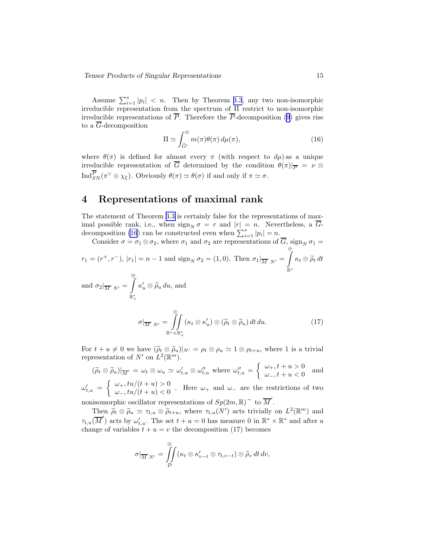Assume  $\sum_{i=1}^{s} |p_i| < n$ . Then by Theorem [3.3](#page-13-0), any two non-isomorphic irreducible representation from the spectrum of Π restrict to non-isomorphic irreducible representations of  $\overline{P}$ . Therefore the  $\overline{P}$ -decomposition [\(9](#page-8-0)) gives rise to a  $\overline{G}$ -decomposition

$$
\Pi \simeq \int_{\hat{G}'}^{\oplus} m(\pi) \theta(\pi) \, d\mu(\pi), \tag{16}
$$

where  $\theta(\pi)$  is defined for almost every  $\pi$  (with respect to  $d\mu$ ) as a unique irreducible representation of  $\overline{G}$  determined by the condition  $\theta(\pi)|_{\overline{P}} = \nu \otimes$  $\text{Ind}_{SN}^P(\pi^\vee \otimes \chi_\xi)$ . Obviously  $\theta(\pi) \simeq \theta(\sigma)$  if and only if  $\pi \simeq \sigma$ .

### 4 Representations of maximal rank

The statement of Theorem [3.3](#page-13-0) is certainly false for the representations of maximal possible rank, i.e., when  $\text{sign}_N \sigma = r$  and  $|r| = n$ . Nevertheless, a  $\overline{G}$ decomposition (16) can be constructed even when  $\sum_{i=1}^{s} |p_i| = n$ .

Consider 
$$
\sigma = \sigma_1 \otimes \sigma_2
$$
, where  $\sigma_1$  and  $\sigma_2$  are representations of  $\overline{G}$ , sign<sub>N</sub>  $\sigma_1 =$   
\n $r_1 = (r^+, r^-), |r_1| = n - 1$  and sign<sub>N</sub>  $\sigma_2 = (1, 0)$ . Then  $\sigma_1|_{\overline{M}' N'} = \int_{\mathbb{R}^*} \kappa_t \otimes \widetilde{\rho}_t dt$ 

and  $\sigma_2|_{\overline{M}' N'} =$ Z R<sup>∗</sup> +  $\kappa'_u \otimes \widetilde{\rho}_u du$ , and

$$
\sigma|_{\overline{M}' N'} = \iint\limits_{\mathbb{R}^* \times \mathbb{R}_+^*} (\kappa_t \otimes \kappa'_u) \otimes (\widetilde{\rho}_t \otimes \widetilde{\rho}_u) dt du.
$$
 (17)

For  $t + u \neq 0$  we have  $(\tilde{\rho}_t \otimes \tilde{\rho}_u)|_{N'} = \rho_t \otimes \rho_u \simeq 1 \otimes \rho_{t+u}$ , where 1 is a trivial representation of  $N'$  on  $L^2(\mathbb{R}^m)$ .

$$
(\widetilde{\rho}_t \otimes \widetilde{\rho}_u)|_{\overline{M}'} = \omega_t \otimes \omega_u \simeq \omega'_{t,u} \otimes \omega''_{t,u} \text{ where } \omega''_{t,u} = \begin{cases} \omega_+, t + u > 0 \\ \omega_-, t + u < 0 \end{cases} \text{ and}
$$

 $\omega'_{t,u}$  =  $\int \omega_+, tu/(t+u) > 0$  $\omega_-, tu/(t+u) < 0$ . Here  $\omega_+$  and  $\omega_-$  are the restrictions of two

nonisomorphic oscillator representations of  $Sp(2m, \mathbb{R})^{\sim}$  to  $\overline{M}'$ .

Then  $\widetilde{\rho}_t \otimes \widetilde{\rho}_u \simeq \tau_{t,u} \otimes \widetilde{\rho}_{t+u}$ , where  $\tau_{t,u}(N')$  acts trivially on  $L^2(\mathbb{R}^m)$  and  $\tau_{t,u}(\overline{M}')$  acts by  $\omega'_{t,u}$ . The set  $t+u=0$  has measure 0 in  $\mathbb{R}^* \times \mathbb{R}^*$  and after a change of variables  $t + u = v$  the decomposition (17) becomes

$$
\sigma|_{\overline{M}'N'} = \iint\limits_{\mathcal{D}} (\kappa_t \otimes \kappa'_{v-t} \otimes \tau_{t,v-t}) \otimes \widetilde{\rho}_v dt dv,
$$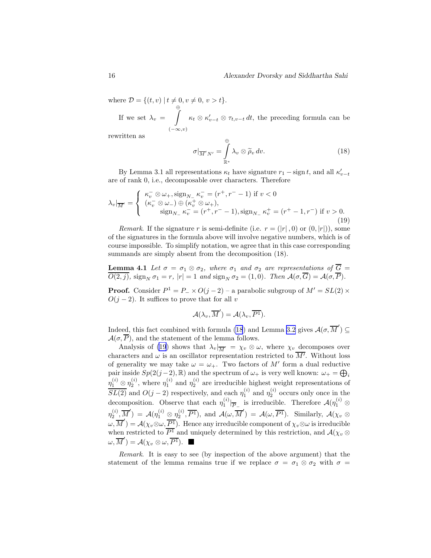where  $D = \{(t, v) | t \neq 0, v \neq 0, v > t\}.$ 

If we set  $\lambda_v =$  $\bigcirc$  $(-\infty, v)$  $\kappa_t \otimes \kappa'_{v-t} \otimes \tau_{t,v-t} dt$ , the preceding formula can be

rewritten as

$$
\sigma|_{\overline{M}'N'} = \int_{\mathbb{R}^*}^{\oplus} \lambda_v \otimes \widetilde{\rho}_v dv.
$$
 (18)

By Lemma 3.1 all representations  $\kappa_t$  have signature  $r_1 - \text{sign } t$ , and all  $\kappa'_{v-t}$ are of rank 0, i.e., decomposable over characters. Therefore

$$
\lambda_v|_{\overline{M}'} = \begin{cases}\n\kappa_v^-\otimes\omega_+,\text{sign}_{N_-}\kappa_v^- = (r^+,r^--1) \text{ if } v < 0 \\
(\kappa_v^-\otimes\omega_-) \oplus (\kappa_v^+\otimes\omega_+),\n\text{sign}_{N_-}\kappa_v^- = (r^+,r^--1),\text{sign}_{N_-}\kappa_v^+ = (r^+-1,r^-) \text{ if } v > 0.\n\end{cases}
$$
\n(19)

Remark. If the signature r is semi-definite (i.e.  $r = (|r|, 0)$  or  $(0, |r|)$ ), some of the signatures in the formula above will involve negative numbers, which is of course impossible. To simplify notation, we agree that in this case corresponding summands are simply absent from the decomposition  $(18)$ .

**Lemma 4.1** Let  $\sigma = \sigma_1 \otimes \sigma_2$ , where  $\sigma_1$  and  $\sigma_2$  are representations of  $\overline{G}$  =  $\overline{O(2,j)}$ , sign<sub>N</sub>  $\sigma_1 = r$ ,  $|r| = 1$  and sign<sub>N</sub>  $\sigma_2 = (1,0)$ . Then  $\mathcal{A}(\sigma, \overline{G}) = \mathcal{A}(\sigma, \overline{P})$ .

**Proof.** Consider  $P^1 = P_- \times O(j-2)$  – a parabolic subgroup of  $M' = SL(2) \times$  $O(j-2)$ . It suffices to prove that for all v

$$
\mathcal{A}(\lambda_v, \overline{M}') = \mathcal{A}(\lambda_v, \overline{P^1}).
$$

Indeed, this fact combined with formula (18) and Lemma [3.2](#page-12-0) gives  $\mathcal{A}(\sigma, \overline{M}') \subseteq$  $\mathcal{A}(\sigma,\overline{P})$ , and the statement of the lemma follows.

Analysis of (19) shows that  $\lambda_v|_{\overline{M}'} = \chi_v \otimes \omega$ , where  $\chi_v$  decomposes over characters and  $\omega$  is an oscillator representation restricted to  $\overline{M'}$ . Without loss of generality we may take  $\omega = \omega_+$ . Two factors of M' form a dual reductive pair inside  $Sp(2(j-2), \mathbb{R})$  and the spectrum of  $\omega_+$  is very well known:  $\omega_+ = \bigoplus_i$  $\eta_1^{(i)} \otimes \eta_2^{(i)}$ , where  $\eta_1^{(i)}$  and  $\eta_2^{(i)}$  are irreducible highest weight representations of  $\overline{SL(2)}$  and  $O(j-2)$  respectively, and each  $\eta_1^{(i)}$  and  $\eta_2^{(i)}$  occurs only once in the decomposition. Observe that each  $\eta_1^{(i)}|_{\overline{P}_-}$  is irreducible. Therefore  $\mathcal{A}(\eta_1^{(i)} \otimes$  $\eta_2^{(i)}, \overline{M}') = \mathcal{A}(\eta_1^{(i)} \otimes \eta_2^{(i)}, \overline{P^1})$ , and  $\mathcal{A}(\omega, \overline{M}') = \mathcal{A}(\omega, \overline{P^1})$ . Similarly,  $\mathcal{A}(\chi_v \otimes \chi_v)$  $\omega, \overline{M}' = \mathcal{A}(\chi_v \otimes \omega, \overline{P^1})$ . Hence any irreducible component of  $\chi_v \otimes \omega$  is irreducible when restricted to  $P^1$  and uniquely determined by this restriction, and  $\mathcal{A}(\chi_v \otimes$  $(\omega, \overline{M}') = \mathcal{A}(\chi_v \otimes \omega, \overline{P^1}).$ 

Remark. It is easy to see (by inspection of the above argument) that the statement of the lemma remains true if we replace  $\sigma = \sigma_1 \otimes \sigma_2$  with  $\sigma =$ 

<span id="page-15-0"></span>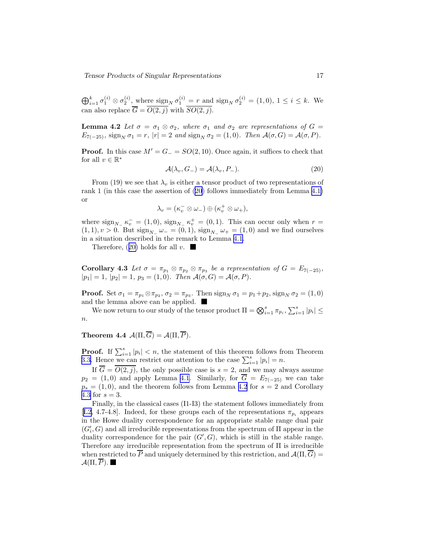Tensor Products of Singular Representations 17

 $\bigoplus_{i=1}^k \sigma_1^{(i)} \otimes \sigma_2^{(i)}$ , where  $\text{sign}_N \sigma_1^{(i)} = r$  and  $\text{sign}_N \sigma_2^{(i)} = (1,0), 1 \le i \le k$ . We can also replace  $G = O(2, j)$  with  $SO(2, j)$ .

**Lemma 4.2** Let  $\sigma = \sigma_1 \otimes \sigma_2$ , where  $\sigma_1$  and  $\sigma_2$  are representations of  $G =$  $E_{7(-25)}$ , sign<sub>N</sub>  $\sigma_1 = r$ ,  $|r| = 2$  and sign<sub>N</sub>  $\sigma_2 = (1, 0)$ . Then  $\mathcal{A}(\sigma, G) = \mathcal{A}(\sigma, P)$ .

**Proof.** In this case  $M' = G = SO(2, 10)$ . Once again, it suffices to check that for all  $v \in \mathbb{R}^*$ 

$$
\mathcal{A}(\lambda_v, G_-) = \mathcal{A}(\lambda_v, P_-). \tag{20}
$$

From (19) we see that  $\lambda_v$  is either a tensor product of two representations of rank 1 (in this case the assertion of (20) follows immediately from Lemma [4.1\)](#page-15-0) or

$$
\lambda_v=(\kappa_v^-\otimes\omega_-)\oplus(\kappa_v^+\otimes\omega_+),
$$

where  $\operatorname{sign}_{N_-} \kappa_v^- = (1,0)$ ,  $\operatorname{sign}_{N_-} \kappa_v^+ = (0,1)$ . This can occur only when  $r =$  $(1, 1), v > 0$ . But  $\text{sign}_{N_-} \omega_- = (0, 1), \text{sign}_{N_-} \omega_+ = (1, 0)$  and we find ourselves in a situation described in the remark to Lemma [4.1.](#page-15-0)

Therefore,  $(20)$  holds for all v.

**Corollary 4.3** Let  $\sigma = \pi_{p_1} \otimes \pi_{p_2} \otimes \pi_{p_3}$  be a representation of  $G = E_{7(-25)}$ ,  $|p_1| = 1$ ,  $|p_2| = 1$ ,  $p_3 = (1, 0)$ . Then  $\mathcal{A}(\sigma, G) = \mathcal{A}(\sigma, P)$ .

**Proof.** Set  $\sigma_1 = \pi_{p_1} \otimes \pi_{p_2}, \sigma_2 = \pi_{p_3}$ . Then  $\text{sign}_N \sigma_1 = p_1 + p_2$ ,  $\text{sign}_N \sigma_2 = (1, 0)$ and the lemma above can be applied.

We now return to our study of the tensor product  $\Pi = \bigotimes_{i=1}^s \pi_{p_i}, \sum_{i=1}^s |p_i| \leq$  $\it n$ .

Theorem 4.4  $\mathcal{A}(\Pi,\overline{G}) = \mathcal{A}(\Pi,\overline{P})$ .

**Proof.** If  $\sum_{i=1}^{s} |p_i| < n$ , the statement of this theorem follows from Theorem [3.3.](#page-13-0) Hence we can restrict our attention to the case  $\sum_{i=1}^{s} |p_i| = n$ .

If  $\overline{G} = \overline{O(2, i)}$ , the only possible case is  $s = 2$ , and we may always assume  $p_2 = (1, 0)$  and apply Lemma [4.1](#page-15-0). Similarly, for  $\overline{G} = E_{7(-25)}$  we can take  $p_s = (1, 0)$ , and the theorem follows from Lemma 4.2 for  $s = 2$  and Corollary 4.3 for  $s = 3$ .

Finally, in the classical cases (I1-I3) the statement follows immediately from [[L2,](#page-18-0) 4.7-4.8]. Indeed, for these groups each of the representations  $\pi_{p_i}$  appears in the Howe duality correspondence for an appropriate stable range dual pair  $(G'_{i}, G)$  and all irreducible representations from the spectrum of  $\Pi$  appear in the duality correspondence for the pair  $(G', G)$ , which is still in the stable range. Therefore any irreducible representation from the spectrum of Π is irreducible when restricted to  $\overline{P}$  and uniquely determined by this restriction, and  $\mathcal{A}(\Pi,\overline{G})=$  $\mathcal{A}(\Pi,\overline{P}).\blacksquare$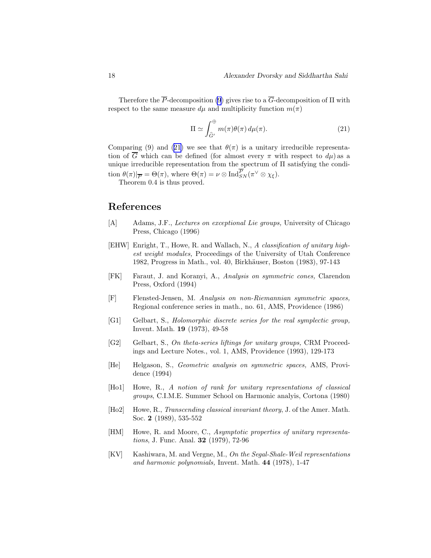<span id="page-17-0"></span>Therefore the  $\overline{P}$ -decomposition [\(9](#page-8-0)) gives rise to a  $\overline{G}$ -decomposition of  $\Pi$  with respect to the same measure  $d\mu$  and multiplicity function  $m(\pi)$ 

$$
\Pi \simeq \int_{\widehat{G}'}^{\oplus} m(\pi) \theta(\pi) \, d\mu(\pi). \tag{21}
$$

Comparing (9) and (21) we see that  $\theta(\pi)$  is a unitary irreducible representation of  $\overline{G}$  which can be defined (for almost every  $\pi$  with respect to  $d\mu$ ) as a unique irreducible representation from the spectrum of Π satisfying the condition  $\theta(\pi)|_{\overline{P}} = \Theta(\pi)$ , where  $\Theta(\pi) = \nu \otimes \text{Ind}_{SN}^{P}(\pi^{\vee} \otimes \chi_{\xi})$ .

Theorem 0.4 is thus proved.

### References

- [A] Adams, J.F., *Lectures on exceptional Lie groups*, University of Chicago Press, Chicago (1996)
- [EHW] Enright, T., Howe, R. and Wallach, N., A classification of unitary highest weight modules, Proceedings of the University of Utah Conference 1982, Progress in Math., vol. 40, Birkhäuser, Boston (1983), 97-143
- [FK] Faraut, J. and Koranyi, A., Analysis on symmetric cones, Clarendon Press, Oxford (1994)
- [F] Flensted-Jensen, M. Analysis on non-Riemannian symmetric spaces, Regional conference series in math., no. 61, AMS, Providence (1986)
- [G1] Gelbart, S., Holomorphic discrete series for the real symplectic group, Invent. Math. 19 (1973), 49-58
- [G2] Gelbart, S., On theta-series liftings for unitary groups, CRM Proceedings and Lecture Notes., vol. 1, AMS, Providence (1993), 129-173
- [He] Helgason, S., Geometric analysis on symmetric spaces, AMS, Providence (1994)
- [Ho1] Howe, R., A notion of rank for unitary representations of classical groups, C.I.M.E. Summer School on Harmonic analyis, Cortona (1980)
- [Ho2] Howe, R., Transcending classical invariant theory, J. of the Amer. Math. Soc. 2 (1989), 535-552
- [HM] Howe, R. and Moore, C., Asymptotic properties of unitary representations, J. Func. Anal. 32 (1979), 72-96
- [KV] Kashiwara, M. and Vergne, M., On the Segal-Shale-Weil representations and harmonic polynomials, Invent. Math. 44 (1978), 1-47